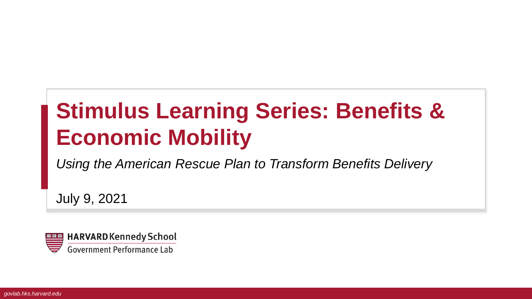# **Stimulus Learning Series: Benefits & Economic Mobility**

*Using the American Rescue Plan to Transform Benefits Delivery*

July 9, 2021

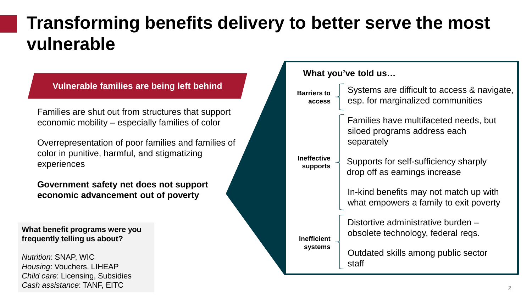### **Transforming benefits delivery to better serve the most vulnerable**

### **Vulnerable families are being left behind**

Families are shut out from structures that support economic mobility – especially families of color

Overrepresentation of poor families and families of color in punitive, harmful, and stigmatizing experiences

**Government safety net does not support economic advancement out of poverty**

**What benefit programs were you frequently telling us about?**

*Nutrition*: SNAP, WIC *Housing*: Vouchers, LIHEAP *Child care*: Licensing, Subsidies *Cash assistance*: TANF, EITC

#### **What you've told us…**

| <b>Barriers to</b><br>access                                           | Systems are difficult to access & navigate,<br>esp. for marginalized communities    |
|------------------------------------------------------------------------|-------------------------------------------------------------------------------------|
|                                                                        | Families have multifaceted needs, but<br>siloed programs address each<br>separately |
| <b>Ineffective</b><br><b>supports</b><br><b>Inefficient</b><br>systems | Supports for self-sufficiency sharply<br>drop off as earnings increase              |
|                                                                        | In-kind benefits may not match up with<br>what empowers a family to exit poverty    |
|                                                                        | Distortive administrative burden -<br>obsolete technology, federal reqs.            |
|                                                                        | Outdated skills among public sector<br>staff                                        |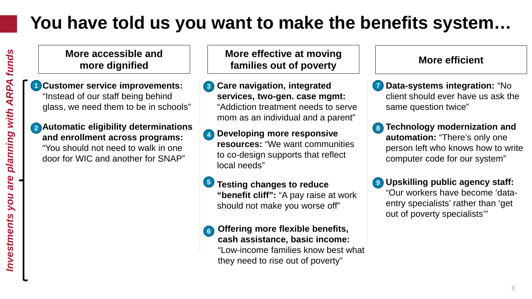## **You have told us you want to make the benefits system…**

**More accessible and more dignified**

- **Customer service improvements: 1** "Instead of our staff being behind glass, we need them to be in schools"
- **Automatic eligibility determinations 2 and enrollment across programs:**  "You should not need to walk in one door for WIC and another for SNAP"

**More effective at moving families out of poverty More efficient**

- **Care navigation, integrated services, two-gen. case mgmt:**  "Addiction treatment needs to serve mom as an individual and a parent" **3**
- **Developing more responsive resources:** "We want communities to co-design supports that reflect local needs" **4**
- **Testing changes to reduce "benefit cliff":** "A pay raise at work should not make you worse off" **5**
- **Offering more flexible benefits, cash assistance, basic income:** "Low-income families know best what they need to rise out of poverty" **6**

- **Data-systems integration:** "No **7** client should ever have us ask the same question twice"
- **Technology modernization and automation:** "There's only one person left who knows how to write computer code for our system" **8**
- **Upskilling public agency staff: 9**"Our workers have become 'dataentry specialists' rather than 'get out of poverty specialists'"